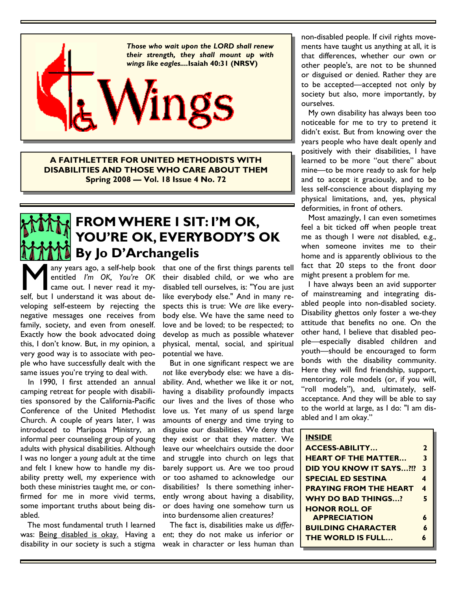

**A FAITHLETTER FOR UNITED METHODISTS WITH DISABILITIES AND THOSE WHO CARE ABOUT THEM Spring 2008 — Vol. 18 Issue 4 No. 72** 

## **FROM WHERE I SIT: I'M OK, YOU'RE OK, EVERYBODY'S OK By Jo D'Archangelis**

M any years ago, a self-help book<br>
entitled *I'm OK*, *You're OK*<br>
came out. I never read it my-<br>
self, but I understand it was about deentitled *I'm OK, You're OK* came out. I never read it myveloping self-esteem by rejecting the negative messages one receives from family, society, and even from oneself. Exactly how the book advocated doing this, I don't know. But, in my opinion, a very good way is to associate with people who have successfully dealt with the same issues you're trying to deal with.

 In 1990, I first attended an annual camping retreat for people with disabilities sponsored by the California-Pacific Conference of the United Methodist Church. A couple of years later, I was introduced to Mariposa Ministry, an informal peer counseling group of young adults with physical disabilities. Although I was no longer a *young* adult at the time and felt I knew how to handle my disability pretty well, my experience with both these ministries taught me, or confirmed for me in more vivid terms, some important truths about being disabled.

The most fundamental truth I learned was: Being disabled is okay. Having a disability in our society is such a stigma

any years ago, a self-help book that one of the first things parents tell their disabled child, or we who are disabled tell ourselves, is: "You are just like everybody else." And in many respects this is true: We *are* like everybody else. We have the same need to love and be loved; to be respected; to develop as much as possible whatever physical, mental, social, and spiritual potential we have.

> But in one significant respect we are *not* like everybody else: we have a disability. And, whether we like it or not, having a disability profoundly impacts our lives and the lives of those who love us. Yet many of us spend large amounts of energy and time trying to disguise our disabilities. We deny that they exist or that they matter. We leave our wheelchairs outside the door and struggle into church on legs that barely support us. Are we too proud or too ashamed to acknowledge our disabilities? Is there something inherently wrong about having a disability, or does having one somehow turn us into burdensome alien creatures?

> The fact is, disabilities make us *different*; they do not make us inferior or weak in character or less human than

non-disabled people. If civil rights movements have taught us anything at all, it is that differences, whether our own or other people's, are not to be shunned or disguised or denied. Rather they are to be accepted—accepted not only by society but also, more importantly, by ourselves.

My own disability has always been too noticeable for me to try to pretend it didn't exist. But from knowing over the years people who have dealt openly and positively with their disabilities, I have learned to be more "out there" about mine—to be more ready to ask for help and to accept it graciously, and to be less self-conscience about displaying my physical limitations, and, yes, physical deformities, in front of others.

Most amazingly, I can even sometimes feel a bit ticked off when people treat me as though I were *not* disabled, e.g., when someone invites me to their home and is apparently oblivious to the fact that 20 steps to the front door might present a problem for me.

I have always been an avid supporter of mainstreaming and integrating disabled people into non-disabled society. Disability ghettos only foster a we-they attitude that benefits no one. On the other hand, I believe that disabled people—especially disabled children and youth—should be encouraged to form bonds with the disability community. Here they will find friendship, support, mentoring, role models (or, if you will, "roll models"), and, ultimately, selfacceptance. And they will be able to say to the world at large, as I do: "I am disabled and I am okay."

#### **INSIDE**

| <b>ACCESS-ABILITY</b>         | 2 |
|-------------------------------|---|
| <b>HEART OF THE MATTER</b>    | 3 |
| DID YOU KNOW IT SAYS?!?       | 3 |
| <b>SPECIAL ED SESTINA</b>     | 4 |
| <b>PRAYING FROM THE HEART</b> | 4 |
| <b>WHY DO BAD THINGS?</b>     | 5 |
| <b>HONOR ROLL OF</b>          |   |
| <b>APPRECIATION</b>           | 6 |
| <b>BUILDING CHARACTER</b>     | 6 |
| <b>THE WORLD IS FULL</b>      |   |
|                               |   |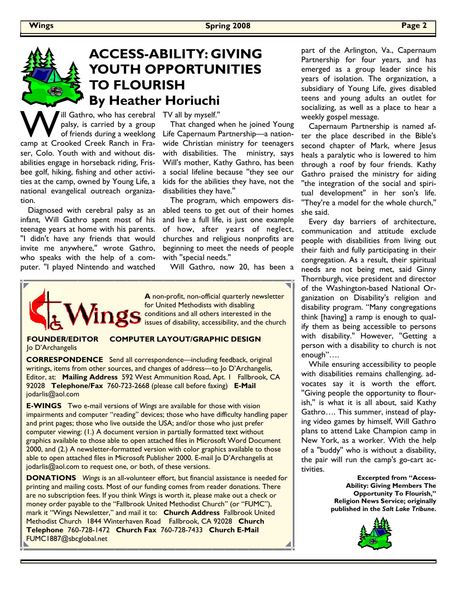## **ACCESS-ABILITY: GIVING YOUTH OPPORTUNITIES TO FLOURISH By Heather Horiuchi**

ill Gathro, who has cerebral palsy, is carried by a group of friends during a weeklong camp at Crooked Creek Ranch in Fraser, Colo. Youth with and without disabilities engage in horseback riding, Frisbee golf, hiking, fishing and other activities at the camp, owned by Young Life, a national evangelical outreach organization.

 Diagnosed with cerebral palsy as an infant, Will Gathro spent most of his teenage years at home with his parents. ''I didn't have any friends that would invite me anywhere,'' wrote Gathro, who speaks with the help of a computer. ''I played Nintendo and watched

TV all by myself.''

 That changed when he joined Young Life Capernaum Partnership—a nationwide Christian ministry for teenagers with disabilities. The ministry, says Will's mother, Kathy Gathro, has been a social lifeline because ''they see our kids for the abilities they have, not the disabilities they have.''

 The program, which empowers disabled teens to get out of their homes and live a full life, is just one example of how, after years of neglect, churches and religious nonprofits are beginning to meet the needs of people with ''special needs.''

Will Gathro, now 20, has been a



**A** non-profit, non-official quarterly newsletter for United Methodists with disabling **Conditions and all others interested in the** issues of disability, accessibility, and the church

Jo D'Archangelis

# **FOUNDER/EDITOR COMPUTER LAYOUT/GRAPHIC DESIGN**

**CORRESPONDENCE** Send all correspondence—including feedback, original writings, items from other sources, and changes of address—to Jo D'Archangelis, Editor, at: **Mailing Address** 592 West Ammunition Road, Apt. 1 Fallbrook, CA 92028 **Telephone/Fax** 760-723-2668 (please call before faxing) **E-Mail**  jodarlis@aol.com

**E-WINGS** Two e-mail versions of *Wings* are available for those with vision impairments and computer "reading" devices; those who have difficulty handling paper and print pages; those who live outside the USA; and/or those who just prefer computer viewing: (1.) A document version in partially formatted text without graphics available to those able to open attached files in Microsoft Word Document 2000, and (2.) A newsletter-formatted version with color graphics available to those able to open attached files in Microsoft Publisher 2000. E-mail Jo D'Archangelis at jodarlis@aol.com to request one, or both, of these versions.

**DONATIONS** *Wings* is an all-volunteer effort, but financial assistance is needed for printing and mailing costs. Most of our funding comes from reader donations. There are no subscription fees. If you think *Wings* is worth it, please make out a check or money order payable to the "Fallbrook United Methodist Church" (or "FUMC"), mark it "Wings Newsletter," and mail it to: **Church Address** Fallbrook United Methodist Church 1844 Winterhaven Road Fallbrook, CA 92028 **Church Telephone** 760-728-1472 **Church Fax** 760-728-7433 **Church E-Mail**  FUMC1887@sbcglobal.net

part of the Arlington, Va., Capernaum Partnership for four years, and has emerged as a group leader since his years of isolation. The organization, a subsidiary of Young Life, gives disabled teens and young adults an outlet for socializing, as well as a place to hear a weekly gospel message.

 Capernaum Partnership is named after the place described in the Bible's second chapter of Mark, where Jesus heals a paralytic who is lowered to him through a roof by four friends. Kathy Gathro praised the ministry for aiding ''the integration of the social and spiritual development'' in her son's life. ''They're a model for the whole church,'' she said.

 Every day barriers of architecture, communication and attitude exclude people with disabilities from living out their faith and fully participating in their congregation. As a result, their spiritual needs are not being met, said Ginny Thornburgh, vice president and director of the Washington-based National Organization on Disability's religion and disability program. "Many congregations think [having] a ramp is enough to qualify them as being accessible to persons with disability.'' However, ''Getting a person with a disability to church is not enough"….

 While ensuring accessibility to people with disabilities remains challenging, advocates say it is worth the effort. ''Giving people the opportunity to flourish,'' is what it is all about, said Kathy Gathro…. This summer, instead of playing video games by himself, Will Gathro plans to attend Lake Champion camp in New York, as a worker. With the help of a ''buddy'' who is without a disability, the pair will run the camp's go-cart activities.

> **Excerpted from "Access-Ability: Giving Members The Opportunity To Flourish," Religion News Service; originally published in the** *Salt Lake Tribune***.**

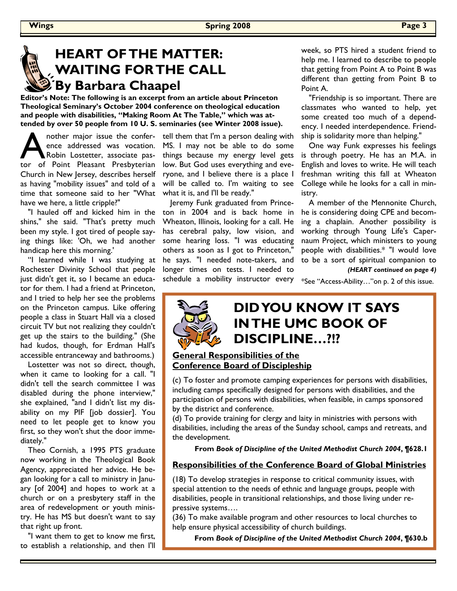# **HEART OF THE MATTER: WAITING FOR THE CALL By Barbara Chaapel**

**Editor's Note: The following is an excerpt from an article about Princeton Theological Seminary's October 2004 conference on theological education and people with disabilities, "Making Room At The Table," which was attended by over 50 people from 10 U. S. seminaries (see Winter 2008 issue).** 

nother major issue the confer-<br>ence addressed was vocation.<br>Robin Lostetter, associate pasence addressed was vocation. Robin Lostetter, associate pastor of Point Pleasant Presbyterian Church in New Jersey, describes herself as having "mobility issues" and told of a time that someone said to her "What have we here, a little cripple?"

 "I hauled off and kicked him in the shins," she said. "That's pretty much been my style. I got tired of people saying things like: 'Oh, we had another handicap here this morning.'

 "I learned while I was studying at Rochester Divinity School that people just didn't get it, so I became an educator for them. I had a friend at Princeton, and I tried to help her see the problems on the Princeton campus. Like offering people a class in Stuart Hall via a closed circuit TV but not realizing they couldn't get up the stairs to the building." (She had kudos, though, for Erdman Hall's accessible entranceway and bathrooms.)

 Lostetter was not so direct, though, when it came to looking for a call. "I didn't tell the search committee I was disabled during the phone interview," she explained, "and I didn't list my disability on my PIF [job dossier]. You need to let people get to know you first, so they won't shut the door immediately."

 Theo Cornish, a 1995 PTS graduate now working in the Theological Book Agency, appreciated her advice. He began looking for a call to ministry in January [of 2004] and hopes to work at a church or on a presbytery staff in the area of redevelopment or youth ministry. He has MS but doesn't want to say that right up front.

 "I want them to get to know me first, to establish a relationship, and then I'll tell them that I'm a person dealing with MS. I may not be able to do some things because my energy level gets low. But God uses everything and everyone, and I believe there is a place I will be called to. I'm waiting to see what it is, and I'll be ready."

Jeremy Funk graduated from Princeton in 2004 and is back home in Wheaton, Illinois, looking for a call. He has cerebral palsy, low vision, and some hearing loss. "I was educating others as soon as I got to Princeton," he says. "I needed note-takers, and longer times on tests. I needed to schedule a mobility instructor every week, so PTS hired a student friend to help me. I learned to describe to people that getting from Point A to Point B was different than getting from Point B to Point A.

 "Friendship is so important. There are classmates who wanted to help, yet some created too much of a dependency. I needed interdependence. Friendship is solidarity more than helping."

 One way Funk expresses his feelings is through poetry. He has an M.A. in English and loves to write. He will teach freshman writing this fall at Wheaton College while he looks for a call in ministry.

 A member of the Mennonite Church, he is considering doing CPE and becoming a chaplain. Another possibility is working through Young Life's Capernaum Project, which ministers to young people with disabilities.\* "I would love to be a sort of spiritual companion to *(HEART continued on page 4)* 

\*See "Access-Ability…"on p. 2 of this issue.

## **DID YOU KNOW IT SAYS IN THE UMC BOOK OF DISCIPLINE…?!?**

## **General Responsibilities of the Conference Board of Discipleship**

(c) To foster and promote camping experiences for persons with disabilities, including camps specifically designed for persons with disabilities, and the participation of persons with disabilities, when feasible, in camps sponsored by the district and conference.

(d) To provide training for clergy and laity in ministries with persons with disabilities, including the areas of the Sunday school, camps and retreats, and the development.

**From** *Book of Discipline of the United Methodist Church 2004***, ¶628.1** 

## **Responsibilities of the Conference Board of Global Ministries**

(18) To develop strategies in response to critical community issues, with special attention to the needs of ethnic and language groups, people with disabilities, people in transitional relationships, and those living under repressive systems….

(36) To make available program and other resources to local churches to help ensure physical accessibility of church buildings.

**From** *Book of Discipline of the United Methodist Church 2004***, ¶630.b**

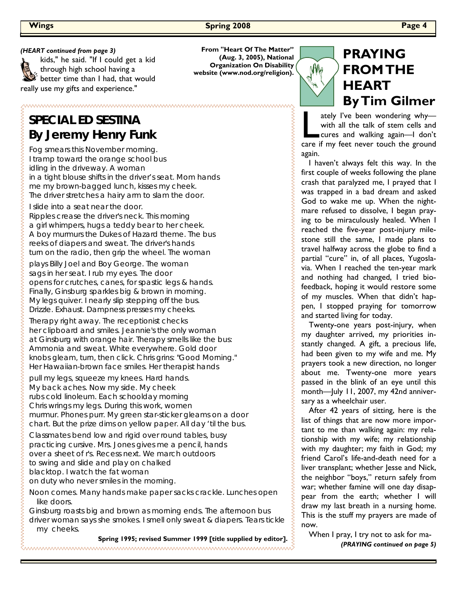kids," he said. "If I could get a kid through high school having a better time than I had, that would really use my gifts and experience."

## **SPECIAL ED SESTINA By Jeremy Henry Funk**

Fog smears this November morning. I tramp toward the orange school bus idling in the driveway. A woman in a tight blouse shifts in the driver's seat. Mom hands me my brown-bagged lunch, kisses my cheek. The driver stretches a hairy arm to slam the door.

I slide into a seat near the door.

Ripples crease the driver's neck. This morning a girl whimpers, hugs a teddy bear to her cheek. A boy murmurs the Dukes of Hazard theme. The bus reeks of diapers and sweat. The driver's hands turn on the radio, then grip the wheel. The woman

plays Billy Joel and Boy George. The woman sags in her seat. I rub my eyes. The door opens for crutches, canes, for spastic legs & hands. Finally, Ginsburg sparkles big & brown in morning. My legs quiver. I nearly slip stepping off the bus. Drizzle. Exhaust. Dampness presses my cheeks.

Therapy right away. The receptionist checks her clipboard and smiles. Jeannie's the only woman at Ginsburg with orange hair. Therapy smells like the bus: Ammonia and sweat. White everywhere. Gold door knobs gleam, turn, then click. Chris grins: "Good Morning." Her Hawaiian-brown face smiles. Her therapist hands

pull my legs, squeeze my knees. Hard hands. My back aches. Now my side. My cheek rubs cold linoleum. Each schoolday morning Chris wrings my legs. During this work, women murmur. Phones purr. My green star-sticker gleams on a door chart. But the prize dims on yellow paper. All day 'til the bus.

Classmates bend low and rigid over round tables, busy practicing cursive. Mrs. Jones gives me a pencil, hands over a sheet of r's. Recess next. We march outdoors to swing and slide and play on chalked blacktop. I watch the fat woman on duty who never smiles in the morning.

Noon comes. Many hands make paper sacks crackle. Lunches open like doors.

Ginsburg roasts big and brown as morning ends. The afternoon bus driver woman says she smokes. I smell only sweat & diapers. Tears tickle my cheeks.

**Spring 1995; revised Summer 1999 [title supplied by editor].**

*(HEART continued from page 3)* **From "Heart Of The Matter" (Aug. 3, 2005), National Organization On Disability website (www.nod.org/religion).** 



## **PRAYING FROM THE HEART By Tim Gilmer**

ately I've been wondering why—<br>with all the talk of stem cells and<br>cures and walking again—I don't with all the talk of stem cells and cures and walking again—I don't care if my feet never touch the ground again.

 I haven't always felt this way. In the first couple of weeks following the plane crash that paralyzed me, I prayed that I was trapped in a bad dream and asked God to wake me up. When the nightmare refused to dissolve, I began praying to be miraculously healed. When I reached the five-year post-injury milestone still the same, I made plans to travel halfway across the globe to find a partial "cure" in, of all places, Yugoslavia. When I reached the ten-year mark and nothing had changed, I tried biofeedback, hoping it would restore some of my muscles. When that didn't happen, I stopped praying for tomorrow and started living for today.

 Twenty-one years post-injury, when my daughter arrived, my priorities instantly changed. A gift, a precious life, had been given to my wife and me. My prayers took a new direction, no longer about me. Twenty-one more years passed in the blink of an eye until this month—July 11, 2007, my 42nd anniversary as a wheelchair user.

 After 42 years of sitting, here is the list of things that are now more important to me than walking again: my relationship with my wife; my relationship with my daughter; my faith in God; my friend Carol's life-and-death need for a liver transplant; whether Jesse and Nick, the neighbor "boys," return safely from war; whether famine will one day disappear from the earth; whether I will draw my last breath in a nursing home. This is the stuff my prayers are made of now.

 When I pray, I try not to ask for ma- *(PRAYING continued on page 5)*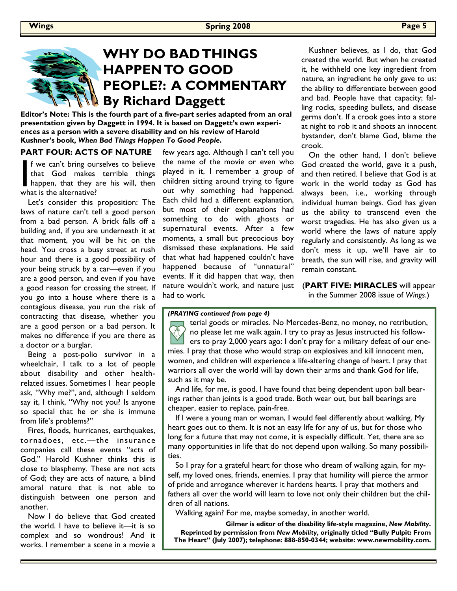

**Editor's Note: This is the fourth part of a five-part series adapted from an oral presentation given by Daggett in 1994. It is based on Daggett's own experiences as a person with a severe disability and on his review of Harold Kushner's book,** *When Bad Things Happen To Good People***.** 

### **PART FOUR: ACTS OF NATURE**

f we can't bring ourselves to believe that God makes terrible things happen, that they are his will, then what is the alternative?

 Let's consider this proposition: The laws of nature can't tell a good person from a bad person. A brick falls off a building and, if you are underneath it at that moment, you will be hit on the head. You cross a busy street at rush hour and there is a good possibility of your being struck by a car—even if you are a good person, and even if you have a good reason for crossing the street. If you go into a house where there is a contagious disease, you run the risk of contracting that disease, whether you are a good person or a bad person. It makes no difference if you are there as a doctor or a burglar.

 Being a post-polio survivor in a wheelchair, I talk to a lot of people about disability and other healthrelated issues. Sometimes I hear people ask, "Why me?", and, although I seldom say it, I think, "Why not you? Is anyone so special that he or she is immune from life's problems?"

 Fires, floods, hurricanes, earthquakes, tornadoes, etc.—the insurance companies call these events "acts of God." Harold Kushner thinks this is close to blasphemy. These are not acts of God; they are acts of nature, a blind amoral nature that is not able to distinguish between one person and another.

 Now I do believe that God created the world. I have to believe it—it is so complex and so wondrous! And it works. I remember a scene in a movie a few years ago. Although I can't tell you the name of the movie or even who played in it, I remember a group of children sitting around trying to figure out why something had happened. Each child had a different explanation, but most of their explanations had something to do with ghosts or supernatural events. After a few moments, a small but precocious boy dismissed these explanations. He said that what had happened couldn't have happened because of "unnatural" events. If it did happen that way, then nature wouldn't work, and nature just had to work.

 Kushner believes, as I do, that God created the world. But when he created it, he withheld one key ingredient from nature, an ingredient he only gave to us: the ability to differentiate between good and bad. People have that capacity; falling rocks, speeding bullets, and disease germs don't. If a crook goes into a store at night to rob it and shoots an innocent bystander, don't blame God, blame the crook.

 On the other hand, I don't believe God created the world, gave it a push, and then retired. I believe that God is at work in the world today as God has always been, i.e., working through individual human beings. God has given us the ability to transcend even the worst tragedies. He has also given us a world where the laws of nature apply regularly and consistently. As long as we don't mess it up, we'll have air to breath, the sun will rise, and gravity will remain constant.

(**PART FIVE: MIRACLES** will appear in the Summer 2008 issue of *Wings*.)

#### *(PRAYING continued from page 4)*

terial goods or miracles. No Mercedes-Benz, no money, no retribution, no please let me walk again. I try to pray as Jesus instructed his followers to pray 2,000 years ago: I don't pray for a military defeat of our enemies. I pray that those who would strap on explosives and kill innocent men, women, and children will experience a life-altering change of heart. I pray that warriors all over the world will lay down their arms and thank God for life, such as it may be.

 And life, for me, is good. I have found that being dependent upon ball bearings rather than joints is a good trade. Both wear out, but ball bearings are cheaper, easier to replace, pain-free.

 If I were a young man or woman, I would feel differently about walking. My heart goes out to them. It is not an easy life for any of us, but for those who long for a future that may not come, it is especially difficult. Yet, there are so many opportunities in life that do not depend upon walking. So many possibilities.

 So I pray for a grateful heart for those who dream of walking again, for myself, my loved ones, friends, enemies. I pray that humility will pierce the armor of pride and arrogance wherever it hardens hearts. I pray that mothers and fathers all over the world will learn to love not only their children but the children of all nations.

Walking again? For me, maybe someday, in another world.

**Gilmer is editor of the disability life-style magazine,** *New Mobility***. Reprinted by permission from** *New Mobility***, originally titled "Bully Pulpit: From The Heart" (July 2007); telephone: 888-850-0344; website: www.newmobility.com.**